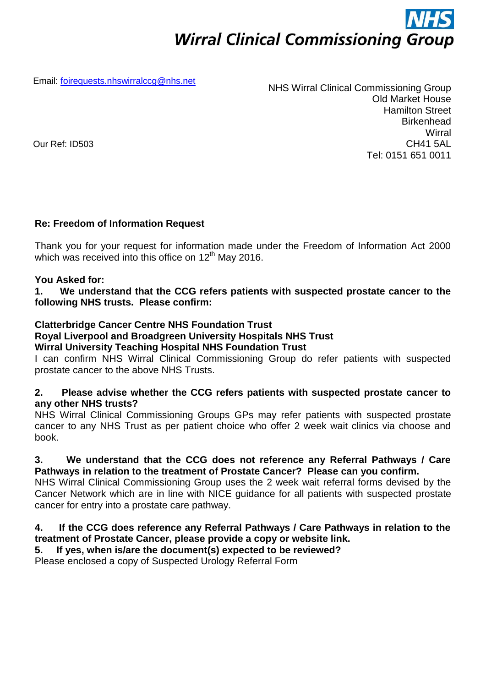# **Wirral Clinical Commissioning Group**

Email: [foirequests.nhswirralccg@nhs.net](mailto:foirequests.nhswirralccg@nhs.net)

NHS Wirral Clinical Commissioning Group Old Market House Hamilton Street **Birkenhead Wirral** CH41 5AL Tel: 0151 651 0011

Our Ref: ID503

# **Re: Freedom of Information Request**

Thank you for your request for information made under the Freedom of Information Act 2000 which was received into this office on  $12<sup>th</sup>$  May 2016.

## **You Asked for:**

**1. We understand that the CCG refers patients with suspected prostate cancer to the following NHS trusts. Please confirm:** 

# **Clatterbridge Cancer Centre NHS Foundation Trust**

#### **Royal Liverpool and Broadgreen University Hospitals NHS Trust Wirral University Teaching Hospital NHS Foundation Trust**

I can confirm NHS Wirral Clinical Commissioning Group do refer patients with suspected prostate cancer to the above NHS Trusts.

## **2. Please advise whether the CCG refers patients with suspected prostate cancer to any other NHS trusts?**

NHS Wirral Clinical Commissioning Groups GPs may refer patients with suspected prostate cancer to any NHS Trust as per patient choice who offer 2 week wait clinics via choose and book.

#### **3. We understand that the CCG does not reference any Referral Pathways / Care Pathways in relation to the treatment of Prostate Cancer? Please can you confirm.**

NHS Wirral Clinical Commissioning Group uses the 2 week wait referral forms devised by the Cancer Network which are in line with NICE guidance for all patients with suspected prostate cancer for entry into a prostate care pathway.

## **4. If the CCG does reference any Referral Pathways / Care Pathways in relation to the treatment of Prostate Cancer, please provide a copy or website link.**

## **5. If yes, when is/are the document(s) expected to be reviewed?**

Please enclosed a copy of Suspected Urology Referral Form